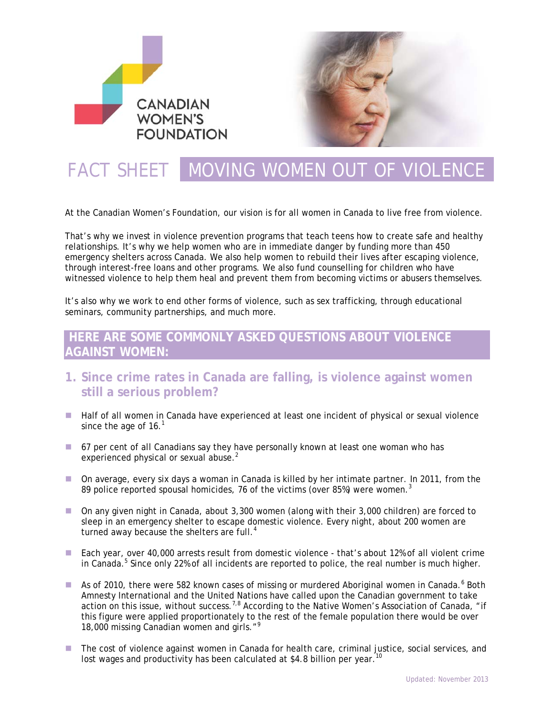



# FACT SHEET | MOVING WOMEN OU

At the Canadian Women's Foundation, our vision is for all women in Canada to live free from violence.

That's why we invest in violence prevention programs that teach teens how to create safe and healthy relationships. It's why we help women who are in immediate danger by funding more than 450 emergency shelters across Canada. We also help women to rebuild their lives after escaping violence, through interest-free loans and other programs. We also fund counselling for children who have witnessed violence to help them heal and prevent them from becoming victims or abusers themselves.

It's also why we work to end other forms of violence, such as sex trafficking, through educational seminars, community partnerships, and much more.

# **ERE ARE SOME COMMONLY ASKED QUESTIONS ABOUT VIOLENCE AGAINST WOMEN:**

- **1. Since crime rates in Canada are falling, is violence against women still a serious problem?**
- Half of all women in Canada have experienced at least one incident of physical or sexual violence since the age of  $16.<sup>1</sup>$
- 67 per cent of all Canadians say they have personally known at least one woman who has experienced physical or sexual abuse.<sup>2</sup>
- On average, every six days a woman in Canada is killed by her intimate partner. In 2011, from the 89 police reported spousal homicides, 76 of the victims (over 85%) were women. $3$
- On any given night in Canada, about 3,300 women (along with their 3,000 children) are forced to sleep in an emergency shelter to escape domestic violence. Every night, about 200 women are turned away because the shelters are full. $4$
- Each year, over 40,000 arrests result from domestic violence that's about 12% of all violent crime in Canada.<sup>5</sup> Since only 22% of all incidents are reported to police, the real number is much higher.
- As of 2010, there were 582 known cases of missing or murdered Aboriginal women in Canada.<sup>6</sup> Both Amnesty International and the United Nations have called upon the Canadian government to take action on this issue, without success.<sup>7,8</sup> According to the Native Women's Association of Canada, "if this figure were applied proportionately to the rest of the female population there would be over 18,000 missing Canadian women and girls."<sup>9</sup>
- The cost of violence against women in Canada for health care, criminal justice, social services, and lost wages and productivity has been calculated at \$4.8 billion per year.<sup>10</sup>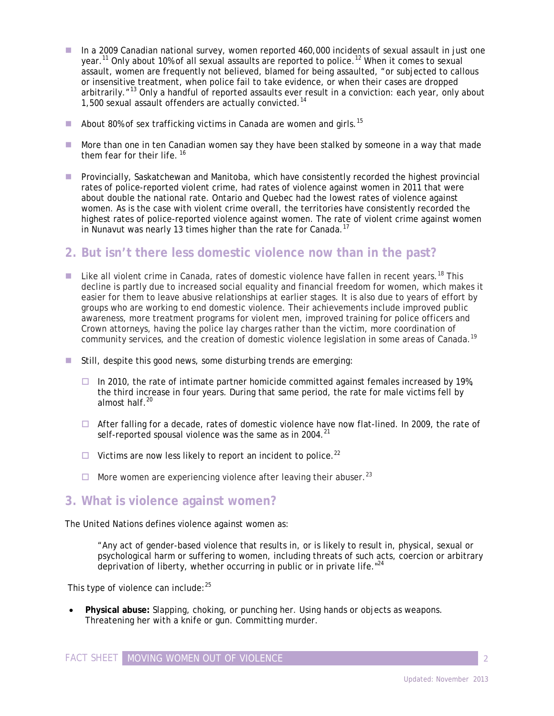- In a 2009 Canadian national survey, women reported 460,000 incidents of sexual assault in just one year.<sup>11</sup> Only about 10% of all sexual assaults are reported to police.<sup>12</sup> When it comes to sexual assault, women are frequently not believed, blamed for being assaulted, "or subjected to callous or insensitive treatment, when police fail to take evidence, or when their cases are dropped arbitrarily."<sup>13</sup> Only a handful of reported assaults ever result in a conviction: each year, only about 1,500 sexual assault offenders are actually convicted.<sup>14</sup>
- About 80% of sex trafficking victims in Canada are women and girls.<sup>15</sup>
- **More than one in ten Canadian women say they have been stalked by someone in a way that made** them fear for their life.<sup>16</sup>
- **Provincially, Saskatchewan and Manitoba, which have consistently recorded the highest provincial** rates of police-reported violent crime, had rates of violence against women in 2011 that were about double the national rate. Ontario and Quebec had the lowest rates of violence against women. As is the case with violent crime overall, the territories have consistently recorded the highest rates of police-reported violence against women. The rate of violent crime against women in Nunavut was nearly 13 times higher than the rate for Canada.<sup>17</sup>

# **2. But isn't there less domestic violence now than in the past?**

- **Like all violent crime in Canada, rates of domestic violence have fallen in recent years.**<sup>18</sup> This decline is partly due to increased social equality and financial freedom for women, which makes it easier for them to leave abusive relationships at earlier stages. It is also due to years of effort by groups who are working to end domestic violence. Their achievements include improved public awareness, more treatment programs for violent men, improved training for police officers and Crown attorneys, having the police lay charges rather than the victim, more coordination of community services, and the creation of domestic violence legislation in some areas of Canada.<sup>19</sup>
- $\blacksquare$  Still, despite this good news, some disturbing trends are emerging:
	- $\Box$  In 2010, the rate of intimate partner homicide committed against females increased by 19%, the third increase in four years. During that same period, the rate for male victims fell by almost half.<sup>20</sup>
	- $\Box$  After falling for a decade, rates of domestic violence have now flat-lined. In 2009, the rate of self-reported spousal violence was the same as in 2004. $^{21}$
	- $\Box$  Victims are now less likely to report an incident to police.<sup>22</sup>
	- $\Box$  More women are experiencing violence after leaving their abuser.<sup>23</sup>

## **3. What is violence against women?**

The United Nations defines violence against women as:

"Any act of gender-based violence that results in, or is likely to result in, physical, sexual or psychological harm or suffering to women, including threats of such acts, coercion or arbitrary deprivation of liberty, whether occurring in public or in private life."<sup>24</sup>

This type of violence can include: $^{25}$ 

 **Physical abuse:** Slapping, choking, or punching her. Using hands or objects as weapons. Threatening her with a knife or gun. Committing murder.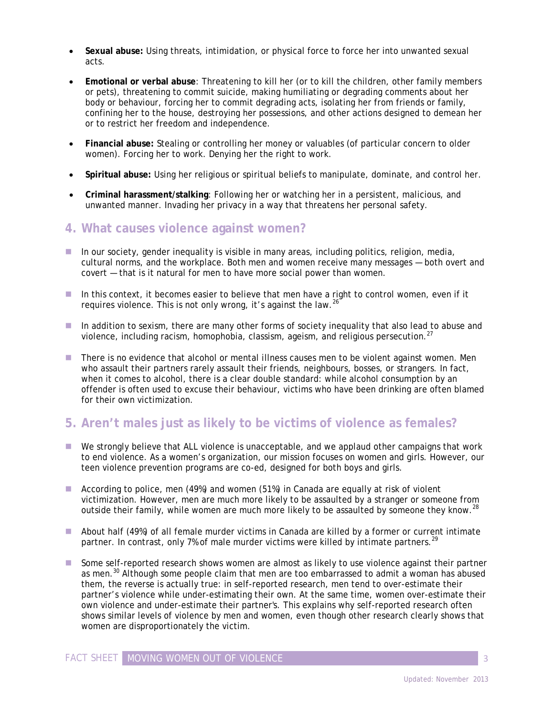- **Sexual abuse:** Using threats, intimidation, or physical force to force her into unwanted sexual acts.
- **Emotional or verbal abuse**: Threatening to kill her (or to kill the children, other family members or pets), threatening to commit suicide, making humiliating or degrading comments about her body or behaviour, forcing her to commit degrading acts, isolating her from friends or family, confining her to the house, destroying her possessions, and other actions designed to demean her or to restrict her freedom and independence.
- **Financial abuse:** Stealing or controlling her money or valuables (of particular concern to older women). Forcing her to work. Denying her the right to work.
- **Spiritual abuse:** Using her religious or spiritual beliefs to manipulate, dominate, and control her.
- **Criminal harassment/stalking**: Following her or watching her in a persistent, malicious, and unwanted manner. Invading her privacy in a way that threatens her personal safety.

## **4. What causes violence against women?**

- In our society, gender inequality is visible in many areas, including politics, religion, media, cultural norms, and the workplace. Both men and women receive many messages — both overt and covert — that is it natural for men to have more social power than women.
- In this context, it becomes easier to believe that men have a right to control women, even if it requires violence. This is not only wrong, it's against the law.<sup>26</sup>
- In addition to sexism, there are many other forms of society inequality that also lead to abuse and violence, including racism, homophobia, classism, ageism, and religious persecution. $^{27}$
- **There is no evidence that alcohol or mental illness causes men to be violent against women. Men** who assault their partners rarely assault their friends, neighbours, bosses, or strangers. In fact, when it comes to alcohol, there is a clear double standard: while alcohol consumption by an offender is often used to excuse their behaviour, victims who have been drinking are often blamed for their own victimization.

# **5. Aren't males just as likely to be victims of violence as females?**

- We strongly believe that ALL violence is unacceptable, and we applaud other campaigns that work to end violence. As a women's organization, our mission focuses on women and girls. However, our teen violence prevention programs are co-ed, designed for both boys and girls.
- According to police, men (49%) and women (51%) in Canada are equally at risk of violent victimization. However, men are much more likely to be assaulted by a stranger or someone from outside their family, while women are much more likely to be assaulted by someone they know.<sup>28</sup>
- About half (49%) of all female murder victims in Canada are killed by a former or current intimate partner. In contrast, only 7% of male murder victims were killed by intimate partners.<sup>29</sup>
- Some self-reported research shows women are almost as likely to use violence against their partner as men.<sup>30</sup> Although some people claim that men are too embarrassed to admit a woman has abused them, the reverse is actually true: in self-reported research, men tend to over-estimate their partner's violence while under-estimating their own. At the same time, women over-estimate their own violence and under-estimate their partner's. This explains why self-reported research often shows similar levels of violence by men and women, even though other research clearly shows that women are disproportionately the victim.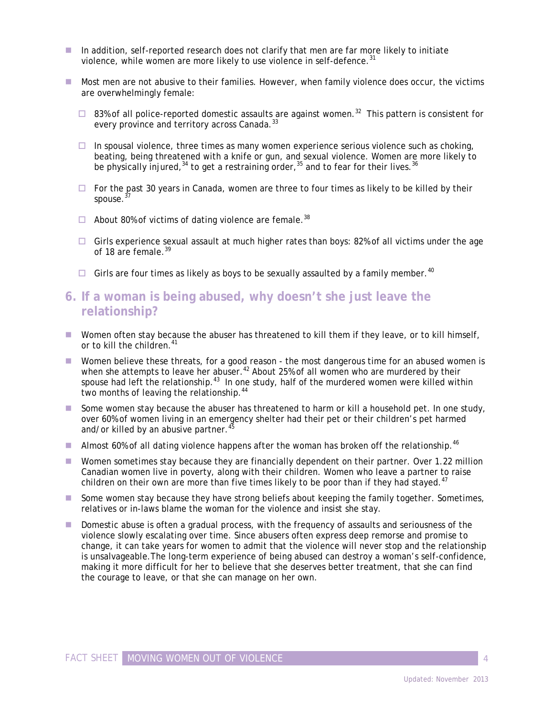- In addition, self-reported research does not clarify that men are far more likely to initiate violence, while women are more likely to use violence in self-defence.<sup>31</sup>
- **Most men are not abusive to their families. However, when family violence does occur, the victims** are overwhelmingly female:
	- $\Box$  83% of all police-reported domestic assaults are against women.<sup>32</sup> This pattern is consistent for every province and territory across Canada.<sup>33</sup>
	- $\Box$  In spousal violence, three times as many women experience serious violence such as choking, beating, being threatened with a knife or gun, and sexual violence. Women are more likely to be physically injured,  $34$  to get a restraining order,  $35$  and to fear for their lives.  $36$
	- $\Box$  For the past 30 years in Canada, women are three to four times as likely to be killed by their spouse.<sup>37</sup>
	- $\Box$  About 80% of victims of dating violence are female.<sup>38</sup>
	- $\Box$  Girls experience sexual assault at much higher rates than boys: 82% of all victims under the age of 18 are female.<sup>39</sup>
	- Girls are four times as likely as boys to be sexually assaulted by a family member.<sup>40</sup>

# **6. If a woman is being abused, why doesn't she just leave the relationship?**

- Women often stay because the abuser has threatened to kill them if they leave, or to kill himself, or to kill the children.<sup>41</sup>
- Women believe these threats, for a good reason the most dangerous time for an abused women is when she attempts to leave her abuser.<sup>42</sup> About 25% of all women who are murdered by their spouse had left the relationship.<sup>43</sup> In one study, half of the murdered women were killed within two months of leaving the relationship.<sup>44</sup>
- Some women stay because the abuser has threatened to harm or kill a household pet. In one study, over 60% of women living in an emergency shelter had their pet or their children's pet harmed and/or killed by an abusive partner.<sup>45</sup>
- Almost 60% of all dating violence happens after the woman has broken off the relationship.<sup>46</sup>
- Women sometimes stay because they are financially dependent on their partner. Over 1.22 million Canadian women live in poverty, along with their children. Women who leave a partner to raise children on their own are more than five times likely to be poor than if they had stayed. $47$
- $\blacksquare$  Some women stay because they have strong beliefs about keeping the family together. Sometimes, relatives or in-laws blame the woman for the violence and insist she stay.
- Domestic abuse is often a gradual process, with the frequency of assaults and seriousness of the violence slowly escalating over time. Since abusers often express deep remorse and promise to change, it can take years for women to admit that the violence will never stop and the relationship is unsalvageable.The long-term experience of being abused can destroy a woman's self-confidence, making it more difficult for her to believe that she deserves better treatment, that she can find the courage to leave, or that she can manage on her own.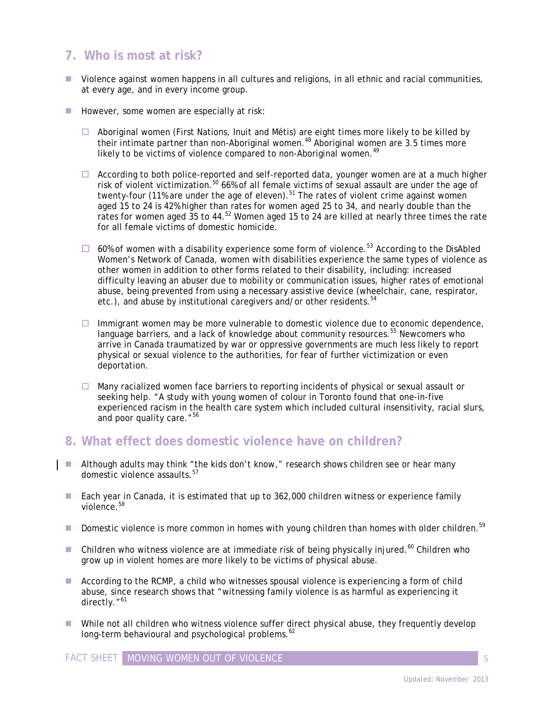# **7. Who is most at risk?**

- Violence against women happens in all cultures and religions, in all ethnic and racial communities, at every age, and in every income group.
- $\blacksquare$  However, some women are especially at risk:
	- □ Aboriginal women (First Nations, Inuit and Métis) are eight times more likely to be killed by their intimate partner than non-Aboriginal women.<sup>48</sup> Aboriginal women are 3.5 times more likely to be victims of violence compared to non-Aboriginal women.<sup>49</sup>
	- $\Box$  According to both police-reported and self-reported data, younger women are at a much higher risk of violent victimization.50 66% of all female victims of sexual assault are under the age of twenty-four (11% are under the age of eleven).51 The rates of violent crime against women aged 15 to 24 is 42% higher than rates for women aged 25 to 34, and nearly double than the rates for women aged  $35$  to 44.<sup>52</sup> Women aged 15 to 24 are killed at nearly three times the rate for all female victims of domestic homicide.
	- $\Box$  60% of women with a disability experience some form of violence.<sup>53</sup> According to the DisAbled Women's Network of Canada, women with disabilities experience the same types of violence as other women in addition to other forms related to their disability, including: increased difficulty leaving an abuser due to mobility or communication issues, higher rates of emotional abuse, being prevented from using a necessary assistive device (wheelchair, cane, respirator, etc.), and abuse by institutional caregivers and/or other residents.<sup>54</sup>
	- $\Box$  Immigrant women may be more vulnerable to domestic violence due to economic dependence, language barriers, and a lack of knowledge about community resources.<sup>55</sup> Newcomers who arrive in Canada traumatized by war or oppressive governments are much less likely to report physical or sexual violence to the authorities, for fear of further victimization or even deportation.
	- $\Box$  Many racialized women face barriers to reporting incidents of physical or sexual assault or seeking help. "A study with young women of colour in Toronto found that one-in-five experienced racism in the health care system which included cultural insensitivity, racial slurs, and poor quality care."<sup>56</sup>

## **8. What effect does domestic violence have on children?**

- **Although adults may think "the kids don't know," research shows children see or hear many** domestic violence assaults<sup>57</sup>
- Each year in Canada, it is estimated that up to 362,000 children witness or experience family violence. $58$
- Domestic violence is more common in homes with young children than homes with older children.<sup>59</sup>
- Children who witness violence are at immediate risk of being physically injured.<sup>60</sup> Children who grow up in violent homes are more likely to be victims of physical abuse.
- **According to the RCMP, a child who witnesses spousal violence is experiencing a form of child** abuse, since research shows that "witnessing family violence is as harmful as experiencing it directly."<sup>61</sup>
- While not all children who witness violence suffer direct physical abuse, they frequently develop long-term behavioural and psychological problems.<sup>62</sup>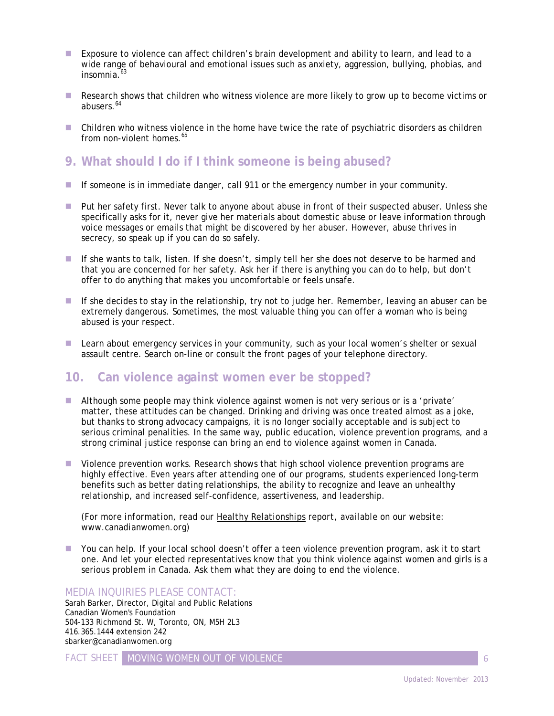- Exposure to violence can affect children's brain development and ability to learn, and lead to a wide range of behavioural and emotional issues such as anxiety, aggression, bullying, phobias, and  $insomnia<sup>63</sup>$
- Research shows that children who witness violence are more likely to grow up to become victims or abusers.<sup>64</sup>
- Children who witness violence in the home have twice the rate of psychiatric disorders as children from non-violent homes.<sup>65</sup>

## **9. What should I do if I think someone is being abused?**

- If someone is in immediate danger, call 911 or the emergency number in your community.
- **Put her safety first. Never talk to anyone about abuse in front of their suspected abuser. Unless she** specifically asks for it, never give her materials about domestic abuse or leave information through voice messages or emails that might be discovered by her abuser. However, abuse thrives in secrecy, so speak up if you can do so safely.
- If she wants to talk, listen. If she doesn't, simply tell her she does not deserve to be harmed and that you are concerned for her safety. Ask her if there is anything you can do to help, but don't offer to do anything that makes you uncomfortable or feels unsafe.
- If she decides to stay in the relationship, try not to judge her. Remember, leaving an abuser can be extremely dangerous. Sometimes, the most valuable thing you can offer a woman who is being abused is your respect.
- **Learn about emergency services in your community, such as your local women's shelter or sexual** assault centre. Search on-line or consult the front pages of your telephone directory.

# **10. Can violence against women ever be stopped?**

- Although some people may think violence against women is not very serious or is a 'private' matter, these attitudes can be changed. Drinking and driving was once treated almost as a joke, but thanks to strong advocacy campaigns, it is no longer socially acceptable and is subject to serious criminal penalities. In the same way, public education, violence prevention programs, and a strong criminal justice response can bring an end to violence against women in Canada.
- Violence prevention works. Research shows that high school violence prevention programs are highly effective. Even years after attending one of our programs, students experienced long-term benefits such as better dating relationships, the ability to recognize and leave an unhealthy relationship, and increased self-confidence, assertiveness, and leadership.

#### *(For more information, read our Healthy Relationships report, available on our website: www.canadianwomen.org)*

 You can help. If your local school doesn't offer a teen violence prevention program, ask it to start one. And let your elected representatives know that you think violence against women and girls is a serious problem in Canada. Ask them what they are doing to end the violence.

#### MEDIA INQUIRIES PLEASE CONTACT:

Sarah Barker, Director, Digital and Public Relations Canadian Women's Foundation 504-133 Richmond St. W, Toronto, ON, M5H 2L3 416.365.1444 extension 242 sbarker@canadianwomen.org

FACT SHEET MOVING WOMEN OUT OF VIOLENCE AND SERVICE OF THE CHARGE 1997 CONTROL CONTROL CONTROL CONTROL CONTROL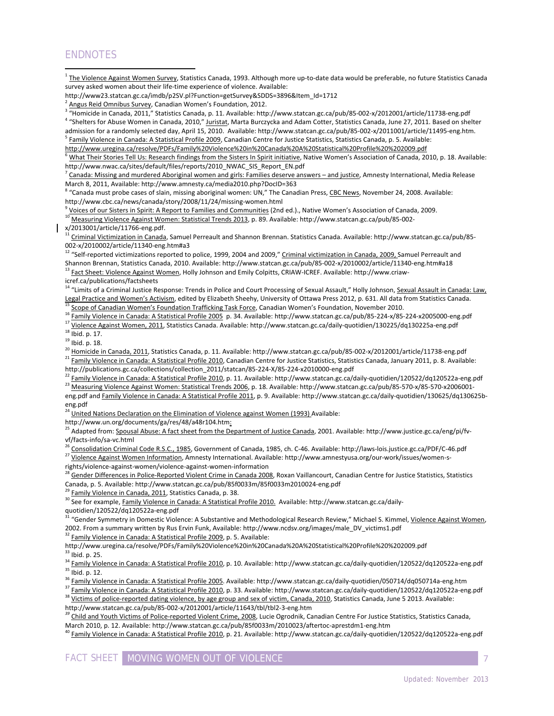#### ENDNOTES

 $1$  The Violence Against Women Survey, Statistics Canada, 1993. Although more up-to-date data would be preferable, no future Statistics Canada survey asked women about their life-time experience of violence. Available:

http://www23.statcan.gc.ca/imdb/p2SV.pl?Function=getSurvey&SDDS=3896&Item\_Id=1712<br><sup>2</sup> Angus Reid Omnibus Survey, Canadian Women's Foundation, 2012.

<sup>3</sup> "Homicide in Canada, 2011," Statistics Canada, p. 11. Available: http://www.statcan.gc.ca/pub/85-002-x/2012001/article/11738-eng.pdf <sup>4</sup> "Shelters for Abuse Women in Canada, 2010," Juristat, Marta Burczycka and Adam Cotter, Statistics Canada, June 27, 2011. Based on shelter

admission for a randomly selected day, April 15, 2010. Available: http://www.statcan.gc.ca/pub/85-002-x/2011001/article/11495-eng.htm.<br><sup>5</sup> Family Violence in Canada: A Statistical Profile 2009, Canadian Centre for Justice http://www.uregina.ca/resolve/PDFs/Family%20Violence%20in%20Canada%20A%20Statistical%20Profile%20%202009.pdf

<sup>6</sup> What Their Stories Tell Us: Research findings from the Sisters In Spirit initiative, Native Women's Association of Canada, 2010, p. 18. Available:

http://www.nwac.ca/sites/default/files/reports/2010\_NWAC\_SIS\_Report\_EN.pdf<br><sup>7</sup> Canada: Missing and murdered Aboriginal women and girls: Families deserve answers – and justice, Amnesty International, Media Release March 8, 2011, Available: http://www.amnesty.ca/media2010.php?DocID=363

<sup>8</sup> "Canada must probe cases of slain, missing aboriginal women: UN," The Canadian Press, CBC News, November 24, 2008. Available: http://www.cbc.ca/news/canada/story/2008/11/24/missing-women.html<br><sup>9</sup> Voices of our Sisters in Spirit: A Report to Families and Communities (2nd ed.)., Native Women's Association of Canada, 2009.

<sup>10</sup> Measuring Violence Against Women: Statistical Trends 2013, p. 89. Available: http://www.statcan.gc.ca/pub/85-002x/2013001/article/11766‐eng.pdf.

<sup>1</sup> Criminal Victimization in Canada, Samuel Perreault and Shannon Brennan. Statistics Canada. Available: http://www.statcan.gc.ca/pub/85-002‐x/2010002/article/11340‐eng.htm#a3

<sup>12</sup> "Self-reported victimizations reported to police, 1999, 2004 and 2009," Criminal victimization in Canada, 2009, Samuel Perreault and Shannon Brennan, Statistics Canada, 2010. Available: http://www.statcan.gc.ca/pub/85‐002‐x/2010002/article/11340‐eng.htm#a18 <sup>13</sup> Fact Sheet: Violence Against Women, Holly Johnson and Emily Colpitts, CRIAW-ICREF. Available: http://www.criaw-

icref.ca/publications/factsheets<br><sup>14</sup> "Limits of a Criminal Justice Response: Trends in Police and Court Processing of Sexual Assault," Holly Johnson, <u>Sexual Assault in Canada: Law,</u> Legal Practice and Women's Activism, edited by Elizabeth Sheehy, University of Ottawa Press 2012, p. 631. All data from Statistics Canada.

<sup>15</sup> Scope of Canadian Women's Foundation Trafficking Task Force, Canadian Women's Foundation, November 2010.<br><sup>16</sup> Family Violence in Canada: A Statistical Profile 2005 p. 34. Available: http://www.statcan.gc.ca/pub/85-224

<sup>17</sup> Violence Against Women, 2011, Statistics Canada. Available: http://www.statcan.gc.ca/daily-quotidien/130225/dq130225a-eng.pdf

 $18$  Ibid. p. 17.

<sup>19</sup> Ibid. p. 18.<br><sup>20</sup> Homicide in Ca<u>nada, 2011</u>, Statistics Canada, p. 11. Available: http://www.statcan.gc.ca/pub/85-002-x/2012001/article/11738-eng.pdf <sup>21</sup> Family Violence in Canada: A Statistical Profile 2010, Canadian Centre for Justice Statistics, Statistics Canada, January 2011, p. 8. Available: http://publications.gc.ca/collections/collection\_2011/statcan/85‐224‐X/85‐224‐x2010000‐eng.pdf

<sup>22</sup> Family Violence in Canada: A Statistical Profile 2010, p. 11. Available: http://www.statcan.gc.ca/daily-quotidien/120522/dq120522a-eng.pdf

<sup>23</sup> Measuring Violence Against Women: Statistical Trends 2006, p. 18. Available: http://www.statcan.gc.ca/pub/85-570-x/85-570-x2006001eng.pdf and Family Violence in Canada: A Statistical Profile 2011, p. 9. Available: http://www.statcan.gc.ca/daily-quotidien/130625/dq130625beng.pdf

<sup>24</sup> United Nations Declaration on the Elimination of Violence against Women (1993) Available:<br>http://www.un.org/documents/ga/res/48/a48r104.htm:

<sup>25</sup> Adapted from: Spousal Abuse: A fact sheet from the Department of Justice Canada, 2001. Available: http://www.justice.gc.ca/eng/pi/fvvf/facts‐info/sa‐vc.html

<sup>26</sup> Consolidation Criminal Code R.S.C., 1985, Government of Canada, 1985, ch. C‐46. Available: http://laws‐lois.justice.gc.ca/PDF/C‐46.pdf

27 Violence Against Women Information, Amnesty International. Available: http://www.amnestyusa.org/our-work/issues/women-srights/violence‐against‐women/violence‐against‐women‐information

<sup>28</sup> Gender Differences in Police-Reported Violent Crime in Canada 2008, Roxan Vaillancourt, Canadian Centre for Justice Statistics, Statistics Canada, p. 5. Available: http://www.statcan.gc.ca/pub/85f0033m/85f0033m2010024‐eng.pdf

Family Violence in Canada, 2011, Statistics Canada, p. 38.

<sup>30</sup> See for example, Family Violence in Canada: A Statistical Profile 2010. Available: http://www.statcan.gc.ca/dailyquotidien/120522/dq120522a‐eng.pdf

<sup>31</sup> "Gender Symmetry in Domestic Violence: A Substantive and Methodological Research Review," Michael S. Kimmel, <u>Violence Against Women</u>, 2002. From a summary written by Rus Ervin Funk, Available: http://www.ncdsv.org/images/male\_DV\_victims1.pdf

Family Violence in Canada: A Statistical Profile 2009, p. 5. Available:

http://www.uregina.ca/resolve/PDFs/Family%20Violence%20in%20Canada%20A%20Statistical%20Profile%20%202009.pdf Ibid. p. 25.

<sup>34</sup> Family Violence in Canada: A Statistical Profile 2010, p. 10. Available: http://www.statcan.gc.ca/daily-quotidien/120522/dq120522a-eng.pdf <sup>35</sup> Ibid. p. 12.

<sup>36</sup> Family Violence in Canada: A Statistical Profile 2005. Available: http://www.statcan.gc.ca/daily-quotidien/050714/dq050714a-eng.htm

37 Family Violence in Canada: A Statistical Profile 2010, p. 33. Available: http://www.statcan.gc.ca/daily-quotidien/120522/dq120522a-eng.pdf 38 Victims of police-reported dating violence, by age group and sex of victim, Canada, 2010, Statistics Canada, June 5 2013. Available:

http://www.statcan.gc.ca/pub/85-002-x/2012001/article/11643/tbl/tbl2-3-eng.htm<br><sup>39</sup> Child and Youth Victims of Police-reported Violent Crime, 2008, Lucie Ogrodnik, Canadian Centre For Justice Statistics, Statistics Canada, March 2010, p. 12. Available: http://www.statcan.gc.ca/pub/85f0033m/2010023/aftertoc‐aprestdm1‐eng.htm

<sup>40</sup> Family Violence in Canada: A Statistical Profile 2010, p. 21. Available: http://www.statcan.gc.ca/daily-quotidien/120522/dq120522a-eng.pdf

FACT SHEET MOVING WOMEN OUT OF VIOLENCE THE RELEASED OF THE RELEASED OF THE RELEASED OF THE RELEASED OF THE RELEASED OF THE RELEASED OF THE RELEASED OF THE RELEASED OF THE RELEASED OF THE RELEASED OF THE RELEASED OF THE RE